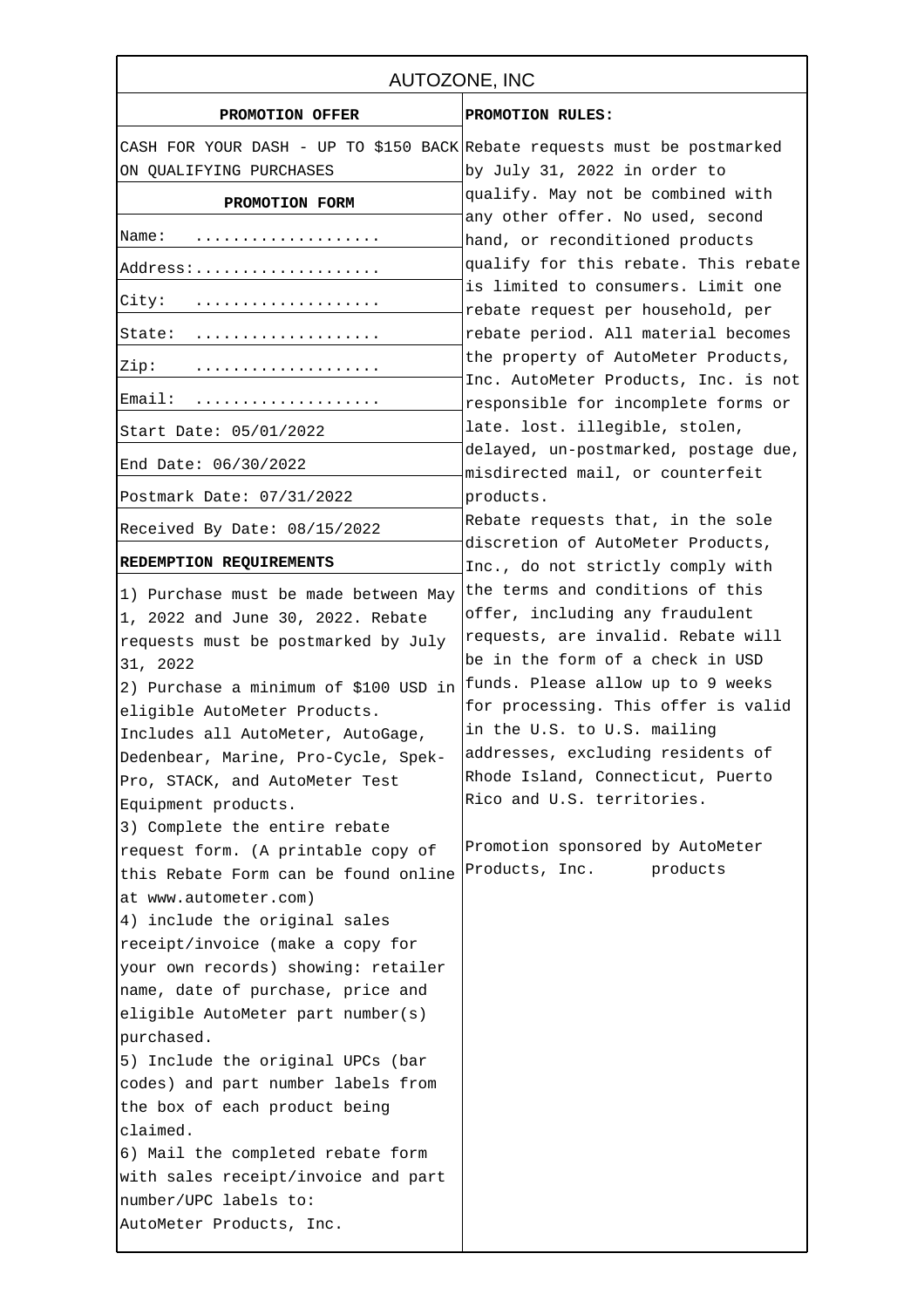| PROMOTION RULES:<br>CASH FOR YOUR DASH - UP TO \$150 BACK Rebate requests must be postmarked<br>by July 31, 2022 in order to<br>qualify. May not be combined with<br>any other offer. No used, second<br>hand, or reconditioned products<br>qualify for this rebate. This rebate<br>is limited to consumers. Limit one<br>rebate request per household, per<br>rebate period. All material becomes                                 |
|------------------------------------------------------------------------------------------------------------------------------------------------------------------------------------------------------------------------------------------------------------------------------------------------------------------------------------------------------------------------------------------------------------------------------------|
|                                                                                                                                                                                                                                                                                                                                                                                                                                    |
|                                                                                                                                                                                                                                                                                                                                                                                                                                    |
|                                                                                                                                                                                                                                                                                                                                                                                                                                    |
|                                                                                                                                                                                                                                                                                                                                                                                                                                    |
|                                                                                                                                                                                                                                                                                                                                                                                                                                    |
|                                                                                                                                                                                                                                                                                                                                                                                                                                    |
|                                                                                                                                                                                                                                                                                                                                                                                                                                    |
|                                                                                                                                                                                                                                                                                                                                                                                                                                    |
| the property of AutoMeter Products,<br>Inc. AutoMeter Products, Inc. is not                                                                                                                                                                                                                                                                                                                                                        |
| responsible for incomplete forms or                                                                                                                                                                                                                                                                                                                                                                                                |
| late. lost. illegible, stolen,                                                                                                                                                                                                                                                                                                                                                                                                     |
| delayed, un-postmarked, postage due,<br>misdirected mail, or counterfeit                                                                                                                                                                                                                                                                                                                                                           |
| products.                                                                                                                                                                                                                                                                                                                                                                                                                          |
| Rebate requests that, in the sole<br>discretion of AutoMeter Products,                                                                                                                                                                                                                                                                                                                                                             |
| Inc., do not strictly comply with                                                                                                                                                                                                                                                                                                                                                                                                  |
| the terms and conditions of this<br>offer, including any fraudulent<br>requests, are invalid. Rebate will<br>be in the form of a check in USD<br>funds. Please allow up to 9 weeks<br>for processing. This offer is valid<br>in the U.S. to U.S. mailing<br>addresses, excluding residents of<br>Rhode Island, Connecticut, Puerto<br>Rico and U.S. territories.<br>Promotion sponsored by AutoMeter<br>Products, Inc.<br>products |
|                                                                                                                                                                                                                                                                                                                                                                                                                                    |